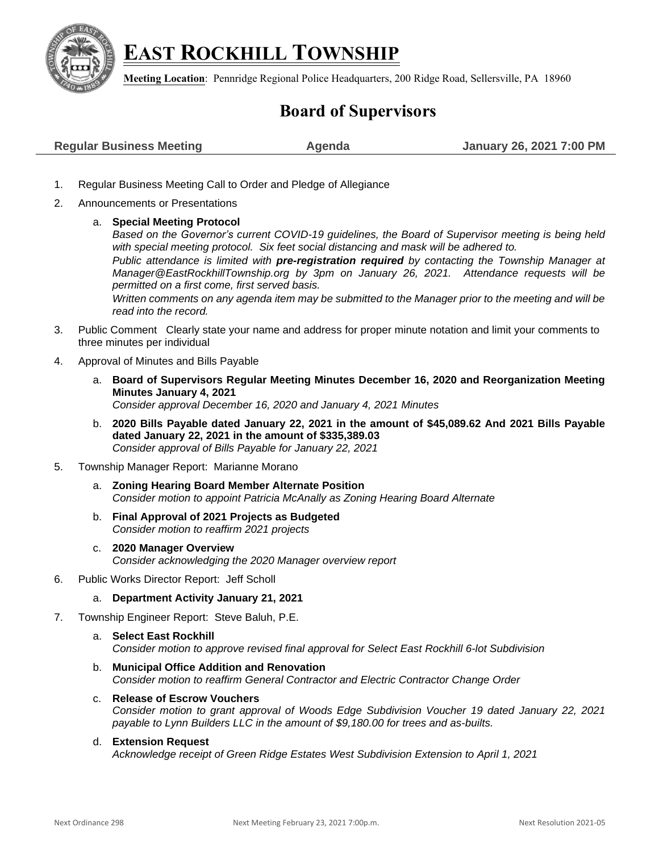

## **EAST ROCKHILL TOWNSHIP**

**Meeting Location**: Pennridge Regional Police Headquarters, 200 Ridge Road, Sellersville, PA 18960

## **Board of Supervisors**

- 1. Regular Business Meeting Call to Order and Pledge of Allegiance
- 2. Announcements or Presentations
	- a. **Special Meeting Protocol**

*Based on the Governor's current COVID-19 guidelines, the Board of Supervisor meeting is being held with special meeting protocol. Six feet social distancing and mask will be adhered to.* 

*Public attendance is limited with pre-registration required by contacting the Township Manager at [Manager@EastRockhillTownship.org](mailto:Manager@EastRockhillTownship.org) by 3pm on January 26, 2021. Attendance requests will be permitted on a first come, first served basis.* 

*Written comments on any agenda item may be submitted to the Manager prior to the meeting and will be read into the record.*

- 3. Public Comment Clearly state your name and address for proper minute notation and limit your comments to three minutes per individual
- 4. Approval of Minutes and Bills Payable
	- a. **Board of Supervisors Regular Meeting Minutes December 16, 2020 and Reorganization Meeting Minutes January 4, 2021** *Consider approval December 16, 2020 and January 4, 2021 Minutes*
	- b. **2020 Bills Payable dated January 22, 2021 in the amount of \$45,089.62 And 2021 Bills Payable dated January 22, 2021 in the amount of \$335,389.03** *Consider approval of Bills Payable for January 22, 2021*
- 5. Township Manager Report: Marianne Morano
	- a. **Zoning Hearing Board Member Alternate Position** *Consider motion to appoint Patricia McAnally as Zoning Hearing Board Alternate*
	- b. **Final Approval of 2021 Projects as Budgeted** *Consider motion to reaffirm 2021 projects*
	- c. **2020 Manager Overview** *Consider acknowledging the 2020 Manager overview report*
- 6. Public Works Director Report: Jeff Scholl
	- a. **Department Activity January 21, 2021**
- 7. Township Engineer Report: Steve Baluh, P.E.
	- a. **Select East Rockhill** *Consider motion to approve revised final approval for Select East Rockhill 6-lot Subdivision*
	- b. **Municipal Office Addition and Renovation** *Consider motion to reaffirm General Contractor and Electric Contractor Change Order*
	- c. **Release of Escrow Vouchers** *Consider motion to grant approval of Woods Edge Subdivision Voucher 19 dated January 22, 2021 payable to Lynn Builders LLC in the amount of \$9,180.00 for trees and as-builts.*
	- d. **Extension Request** *Acknowledge receipt of Green Ridge Estates West Subdivision Extension to April 1, 2021*